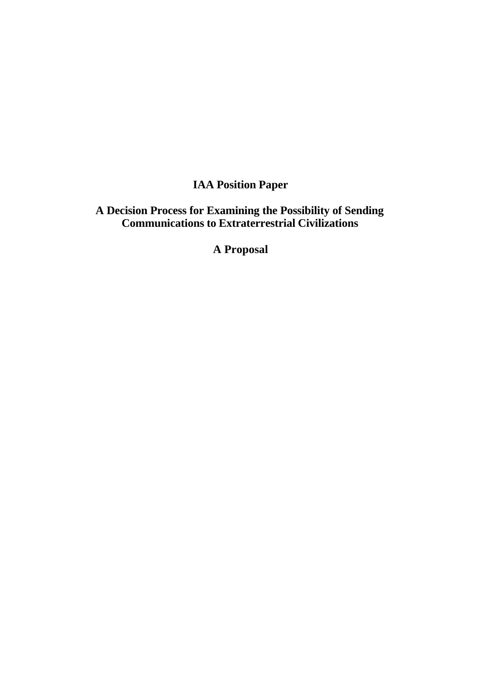# **IAA Position Paper**

# **A Decision Process for Examining the Possibility of Sending Communications to Extraterrestrial Civilizations**

**A Proposal**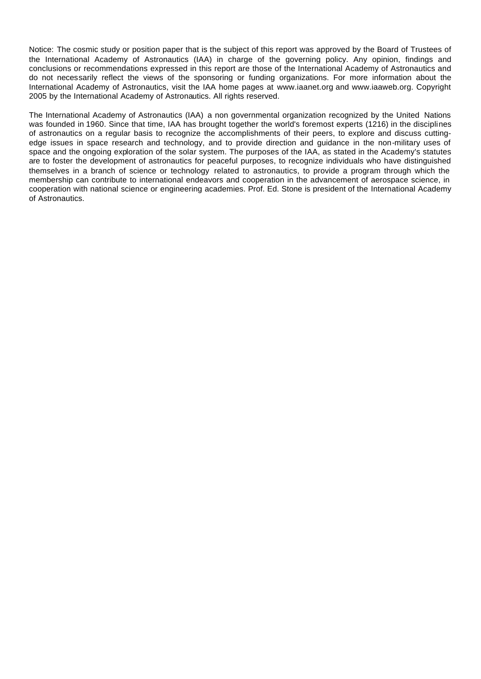Notice: The cosmic study or position paper that is the subject of this report was approved by the Board of Trustees of the International Academy of Astronautics (IAA) in charge of the governing policy. Any opinion, findings and conclusions or recommendations expressed in this report are those of the International Academy of Astronautics and do not necessarily reflect the views of the sponsoring or funding organizations. For more information about the International Academy of Astronautics, visit the IAA home pages at www.iaanet.org and www.iaaweb.org. Copyright 2005 by the International Academy of Astronautics. All rights reserved.

The International Academy of Astronautics (IAA) a non governmental organization recognized by the United Nations was founded in 1960. Since that time, IAA has brought together the world's foremost experts (1216) in the disciplines of astronautics on a regular basis to recognize the accomplishments of their peers, to explore and discuss cuttingedge issues in space research and technology, and to provide direction and guidance in the non-military uses of space and the ongoing exploration of the solar system. The purposes of the IAA, as stated in the Academy's statutes are to foster the development of astronautics for peaceful purposes, to recognize individuals who have distinguished themselves in a branch of science or technology related to astronautics, to provide a program through which the membership can contribute to international endeavors and cooperation in the advancement of aerospace science, in cooperation with national science or engineering academies. Prof. Ed. Stone is president of the International Academy of Astronautics.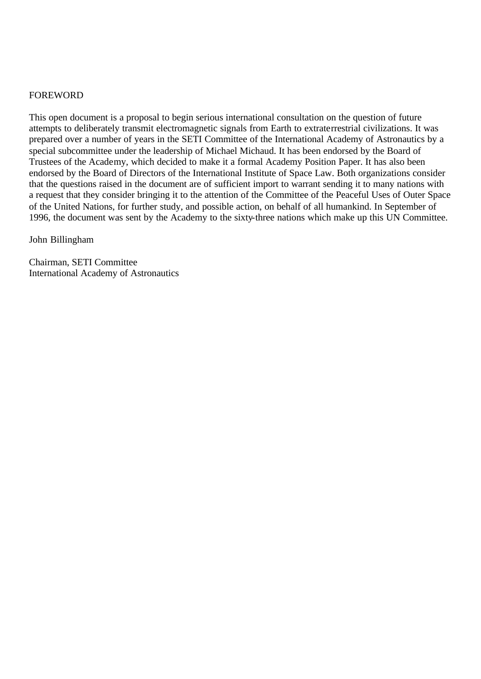#### FOREWORD

This open document is a proposal to begin serious international consultation on the question of future attempts to deliberately transmit electromagnetic signals from Earth to extraterrestrial civilizations. It was prepared over a number of years in the SETI Committee of the International Academy of Astronautics by a special subcommittee under the leadership of Michael Michaud. It has been endorsed by the Board of Trustees of the Academy, which decided to make it a formal Academy Position Paper. It has also been endorsed by the Board of Directors of the International Institute of Space Law. Both organizations consider that the questions raised in the document are of sufficient import to warrant sending it to many nations with a request that they consider bringing it to the attention of the Committee of the Peaceful Uses of Outer Space of the United Nations, for further study, and possible action, on behalf of all humankind. In September of 1996, the document was sent by the Academy to the sixty-three nations which make up this UN Committee.

John Billingham

Chairman, SETI Committee International Academy of Astronautics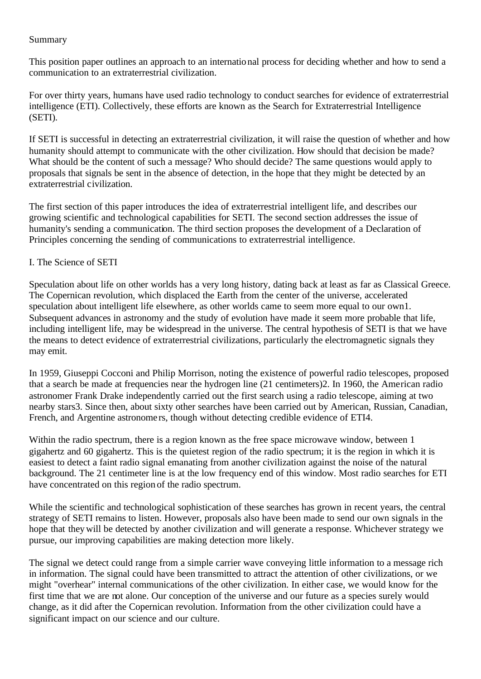## Summary

This position paper outlines an approach to an international process for deciding whether and how to send a communication to an extraterrestrial civilization.

For over thirty years, humans have used radio technology to conduct searches for evidence of extraterrestrial intelligence (ETI). Collectively, these efforts are known as the Search for Extraterrestrial Intelligence (SETI).

If SETI is successful in detecting an extraterrestrial civilization, it will raise the question of whether and how humanity should attempt to communicate with the other civilization. How should that decision be made? What should be the content of such a message? Who should decide? The same questions would apply to proposals that signals be sent in the absence of detection, in the hope that they might be detected by an extraterrestrial civilization.

The first section of this paper introduces the idea of extraterrestrial intelligent life, and describes our growing scientific and technological capabilities for SETI. The second section addresses the issue of humanity's sending a communication. The third section proposes the development of a Declaration of Principles concerning the sending of communications to extraterrestrial intelligence.

### I. The Science of SETI

Speculation about life on other worlds has a very long history, dating back at least as far as Classical Greece. The Copernican revolution, which displaced the Earth from the center of the universe, accelerated speculation about intelligent life elsewhere, as other worlds came to seem more equal to our own1. Subsequent advances in astronomy and the study of evolution have made it seem more probable that life, including intelligent life, may be widespread in the universe. The central hypothesis of SETI is that we have the means to detect evidence of extraterrestrial civilizations, particularly the electromagnetic signals they may emit.

In 1959, Giuseppi Cocconi and Philip Morrison, noting the existence of powerful radio telescopes, proposed that a search be made at frequencies near the hydrogen line (21 centimeters)2. In 1960, the American radio astronomer Frank Drake independently carried out the first search using a radio telescope, aiming at two nearby stars3. Since then, about sixty other searches have been carried out by American, Russian, Canadian, French, and Argentine astronome rs, though without detecting credible evidence of ETI4.

Within the radio spectrum, there is a region known as the free space microwave window, between 1 gigahertz and 60 gigahertz. This is the quietest region of the radio spectrum; it is the region in which it is easiest to detect a faint radio signal emanating from another civilization against the noise of the natural background. The 21 centimeter line is at the low frequency end of this window. Most radio searches for ETI have concentrated on this region of the radio spectrum.

While the scientific and technological sophistication of these searches has grown in recent years, the central strategy of SETI remains to listen. However, proposals also have been made to send our own signals in the hope that they will be detected by another civilization and will generate a response. Whichever strategy we pursue, our improving capabilities are making detection more likely.

The signal we detect could range from a simple carrier wave conveying little information to a message rich in information. The signal could have been transmitted to attract the attention of other civilizations, or we might "overhear" internal communications of the other civilization. In either case, we would know for the first time that we are not alone. Our conception of the universe and our future as a species surely would change, as it did after the Copernican revolution. Information from the other civilization could have a significant impact on our science and our culture.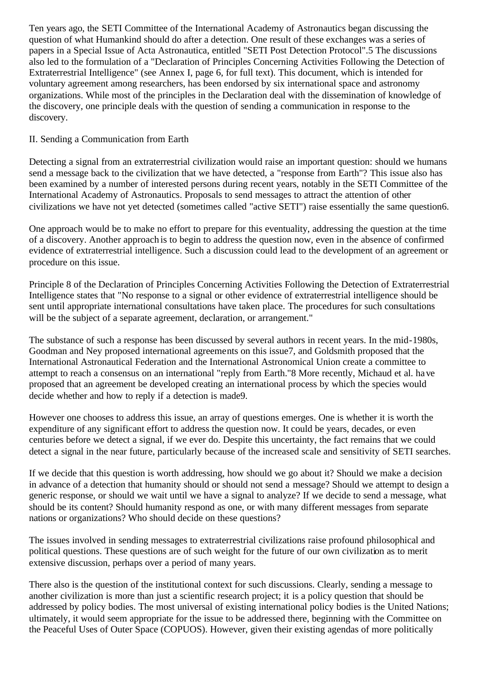Ten years ago, the SETI Committee of the International Academy of Astronautics began discussing the question of what Humankind should do after a detection. One result of these exchanges was a series of papers in a Special Issue of Acta Astronautica, entitled "SETI Post Detection Protocol".5 The discussions also led to the formulation of a "Declaration of Principles Concerning Activities Following the Detection of Extraterrestrial Intelligence" (see Annex I, page 6, for full text). This document, which is intended for voluntary agreement among researchers, has been endorsed by six international space and astronomy organizations. While most of the principles in the Declaration deal with the dissemination of knowledge of the discovery, one principle deals with the question of sending a communication in response to the discovery.

# II. Sending a Communication from Earth

Detecting a signal from an extraterrestrial civilization would raise an important question: should we humans send a message back to the civilization that we have detected, a "response from Earth"? This issue also has been examined by a number of interested persons during recent years, notably in the SETI Committee of the International Academy of Astronautics. Proposals to send messages to attract the attention of other civilizations we have not yet detected (sometimes called "active SETI") raise essentially the same question6.

One approach would be to make no effort to prepare for this eventuality, addressing the question at the time of a discovery. Another approach is to begin to address the question now, even in the absence of confirmed evidence of extraterrestrial intelligence. Such a discussion could lead to the development of an agreement or procedure on this issue.

Principle 8 of the Declaration of Principles Concerning Activities Following the Detection of Extraterrestrial Intelligence states that "No response to a signal or other evidence of extraterrestrial intelligence should be sent until appropriate international consultations have taken place. The procedures for such consultations will be the subject of a separate agreement, declaration, or arrangement."

The substance of such a response has been discussed by several authors in recent years. In the mid-1980s, Goodman and Ney proposed international agreements on this issue7, and Goldsmith proposed that the International Astronautical Federation and the International Astronomical Union create a committee to attempt to reach a consensus on an international "reply from Earth."8 More recently, Michaud et al. have proposed that an agreement be developed creating an international process by which the species would decide whether and how to reply if a detection is made9.

However one chooses to address this issue, an array of questions emerges. One is whether it is worth the expenditure of any significant effort to address the question now. It could be years, decades, or even centuries before we detect a signal, if we ever do. Despite this uncertainty, the fact remains that we could detect a signal in the near future, particularly because of the increased scale and sensitivity of SETI searches.

If we decide that this question is worth addressing, how should we go about it? Should we make a decision in advance of a detection that humanity should or should not send a message? Should we attempt to design a generic response, or should we wait until we have a signal to analyze? If we decide to send a message, what should be its content? Should humanity respond as one, or with many different messages from separate nations or organizations? Who should decide on these questions?

The issues involved in sending messages to extraterrestrial civilizations raise profound philosophical and political questions. These questions are of such weight for the future of our own civilization as to merit extensive discussion, perhaps over a period of many years.

There also is the question of the institutional context for such discussions. Clearly, sending a message to another civilization is more than just a scientific research project; it is a policy question that should be addressed by policy bodies. The most universal of existing international policy bodies is the United Nations; ultimately, it would seem appropriate for the issue to be addressed there, beginning with the Committee on the Peaceful Uses of Outer Space (COPUOS). However, given their existing agendas of more politically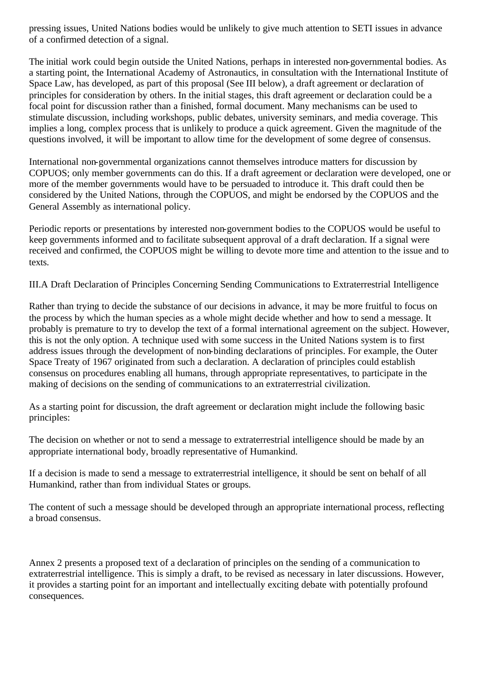pressing issues, United Nations bodies would be unlikely to give much attention to SETI issues in advance of a confirmed detection of a signal.

The initial work could begin outside the United Nations, perhaps in interested non-governmental bodies. As a starting point, the International Academy of Astronautics, in consultation with the International Institute of Space Law, has developed, as part of this proposal (See III below), a draft agreement or declaration of principles for consideration by others. In the initial stages, this draft agreement or declaration could be a focal point for discussion rather than a finished, formal document. Many mechanisms can be used to stimulate discussion, including workshops, public debates, university seminars, and media coverage. This implies a long, complex process that is unlikely to produce a quick agreement. Given the magnitude of the questions involved, it will be important to allow time for the development of some degree of consensus.

International non-governmental organizations cannot themselves introduce matters for discussion by COPUOS; only member governments can do this. If a draft agreement or declaration were developed, one or more of the member governments would have to be persuaded to introduce it. This draft could then be considered by the United Nations, through the COPUOS, and might be endorsed by the COPUOS and the General Assembly as international policy.

Periodic reports or presentations by interested non-government bodies to the COPUOS would be useful to keep governments informed and to facilitate subsequent approval of a draft declaration. If a signal were received and confirmed, the COPUOS might be willing to devote more time and attention to the issue and to texts.

III.A Draft Declaration of Principles Concerning Sending Communications to Extraterrestrial Intelligence

Rather than trying to decide the substance of our decisions in advance, it may be more fruitful to focus on the process by which the human species as a whole might decide whether and how to send a message. It probably is premature to try to develop the text of a formal international agreement on the subject. However, this is not the only option. A technique used with some success in the United Nations system is to first address issues through the development of non-binding declarations of principles. For example, the Outer Space Treaty of 1967 originated from such a declaration. A declaration of principles could establish consensus on procedures enabling all humans, through appropriate representatives, to participate in the making of decisions on the sending of communications to an extraterrestrial civilization.

As a starting point for discussion, the draft agreement or declaration might include the following basic principles:

The decision on whether or not to send a message to extraterrestrial intelligence should be made by an appropriate international body, broadly representative of Humankind.

If a decision is made to send a message to extraterrestrial intelligence, it should be sent on behalf of all Humankind, rather than from individual States or groups.

The content of such a message should be developed through an appropriate international process, reflecting a broad consensus.

Annex 2 presents a proposed text of a declaration of principles on the sending of a communication to extraterrestrial intelligence. This is simply a draft, to be revised as necessary in later discussions. However, it provides a starting point for an important and intellectually exciting debate with potentially profound consequences.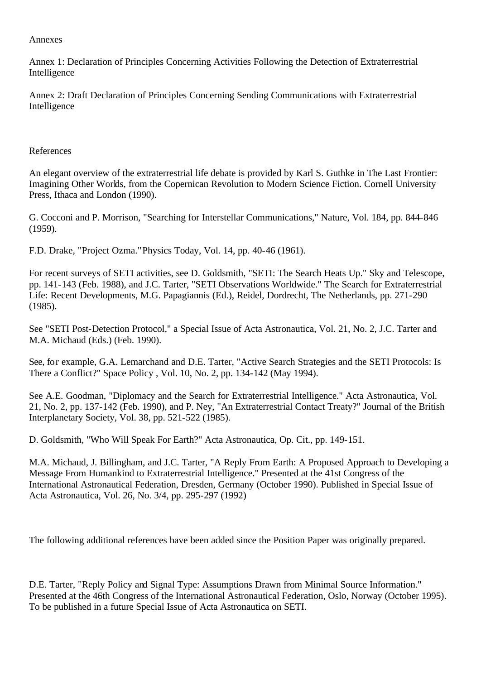#### Annexes

Annex 1: Declaration of Principles Concerning Activities Following the Detection of Extraterrestrial Intelligence

Annex 2: Draft Declaration of Principles Concerning Sending Communications with Extraterrestrial Intelligence

#### References

An elegant overview of the extraterrestrial life debate is provided by Karl S. Guthke in The Last Frontier: Imagining Other Worlds, from the Copernican Revolution to Modern Science Fiction. Cornell University Press, Ithaca and London (1990).

G. Cocconi and P. Morrison, "Searching for Interstellar Communications," Nature, Vol. 184, pp. 844-846 (1959).

F.D. Drake, "Project Ozma." Physics Today, Vol. 14, pp. 40-46 (1961).

For recent surveys of SETI activities, see D. Goldsmith, "SETI: The Search Heats Up." Sky and Telescope, pp. 141-143 (Feb. 1988), and J.C. Tarter, "SETI Observations Worldwide." The Search for Extraterrestrial Life: Recent Developments, M.G. Papagiannis (Ed.), Reidel, Dordrecht, The Netherlands, pp. 271-290 (1985).

See "SETI Post-Detection Protocol," a Special Issue of Acta Astronautica, Vol. 21, No. 2, J.C. Tarter and M.A. Michaud (Eds.) (Feb. 1990).

See, for example, G.A. Lemarchand and D.E. Tarter, "Active Search Strategies and the SETI Protocols: Is There a Conflict?" Space Policy , Vol. 10, No. 2, pp. 134-142 (May 1994).

See A.E. Goodman, "Diplomacy and the Search for Extraterrestrial Intelligence." Acta Astronautica, Vol. 21, No. 2, pp. 137-142 (Feb. 1990), and P. Ney, "An Extraterrestrial Contact Treaty?" Journal of the British Interplanetary Society, Vol. 38, pp. 521-522 (1985).

D. Goldsmith, "Who Will Speak For Earth?" Acta Astronautica, Op. Cit., pp. 149-151.

M.A. Michaud, J. Billingham, and J.C. Tarter, "A Reply From Earth: A Proposed Approach to Developing a Message From Humankind to Extraterrestrial Intelligence." Presented at the 41st Congress of the International Astronautical Federation, Dresden, Germany (October 1990). Published in Special Issue of Acta Astronautica, Vol. 26, No. 3/4, pp. 295-297 (1992)

The following additional references have been added since the Position Paper was originally prepared.

D.E. Tarter, "Reply Policy and Signal Type: Assumptions Drawn from Minimal Source Information." Presented at the 46th Congress of the International Astronautical Federation, Oslo, Norway (October 1995). To be published in a future Special Issue of Acta Astronautica on SETI.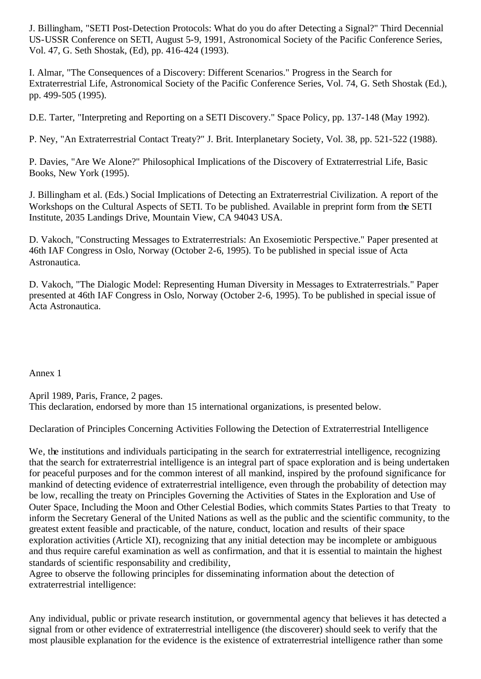J. Billingham, "SETI Post-Detection Protocols: What do you do after Detecting a Signal?" Third Decennial US-USSR Conference on SETI, August 5-9, 1991, Astronomical Society of the Pacific Conference Series, Vol. 47, G. Seth Shostak, (Ed), pp. 416-424 (1993).

I. Almar, "The Consequences of a Discovery: Different Scenarios." Progress in the Search for Extraterrestrial Life, Astronomical Society of the Pacific Conference Series, Vol. 74, G. Seth Shostak (Ed.), pp. 499-505 (1995).

D.E. Tarter, "Interpreting and Reporting on a SETI Discovery." Space Policy, pp. 137-148 (May 1992).

P. Ney, "An Extraterrestrial Contact Treaty?" J. Brit. Interplanetary Society, Vol. 38, pp. 521-522 (1988).

P. Davies, "Are We Alone?" Philosophical Implications of the Discovery of Extraterrestrial Life, Basic Books, New York (1995).

J. Billingham et al. (Eds.) Social Implications of Detecting an Extraterrestrial Civilization. A report of the Workshops on the Cultural Aspects of SETI. To be published. Available in preprint form from the SETI Institute, 2035 Landings Drive, Mountain View, CA 94043 USA.

D. Vakoch, "Constructing Messages to Extraterrestrials: An Exosemiotic Perspective." Paper presented at 46th IAF Congress in Oslo, Norway (October 2-6, 1995). To be published in special issue of Acta Astronautica.

D. Vakoch, "The Dialogic Model: Representing Human Diversity in Messages to Extraterrestrials." Paper presented at 46th IAF Congress in Oslo, Norway (October 2-6, 1995). To be published in special issue of Acta Astronautica.

Annex 1

April 1989, Paris, France, 2 pages. This declaration, endorsed by more than 15 international organizations, is presented below.

Declaration of Principles Concerning Activities Following the Detection of Extraterrestrial Intelligence

We, the institutions and individuals participating in the search for extraterrestrial intelligence, recognizing that the search for extraterrestrial intelligence is an integral part of space exploration and is being undertaken for peaceful purposes and for the common interest of all mankind, inspired by the profound significance for mankind of detecting evidence of extraterrestrial intelligence, even through the probability of detection may be low, recalling the treaty on Principles Governing the Activities of States in the Exploration and Use of Outer Space, Including the Moon and Other Celestial Bodies, which commits States Parties to that Treaty to inform the Secretary General of the United Nations as well as the public and the scientific community, to the greatest extent feasible and practicable, of the nature, conduct, location and results of their space exploration activities (Article XI), recognizing that any initial detection may be incomplete or ambiguous and thus require careful examination as well as confirmation, and that it is essential to maintain the highest standards of scientific responsability and credibility,

Agree to observe the following principles for disseminating information about the detection of extraterrestrial intelligence:

Any individual, public or private research institution, or governmental agency that believes it has detected a signal from or other evidence of extraterrestrial intelligence (the discoverer) should seek to verify that the most plausible explanation for the evidence is the existence of extraterrestrial intelligence rather than some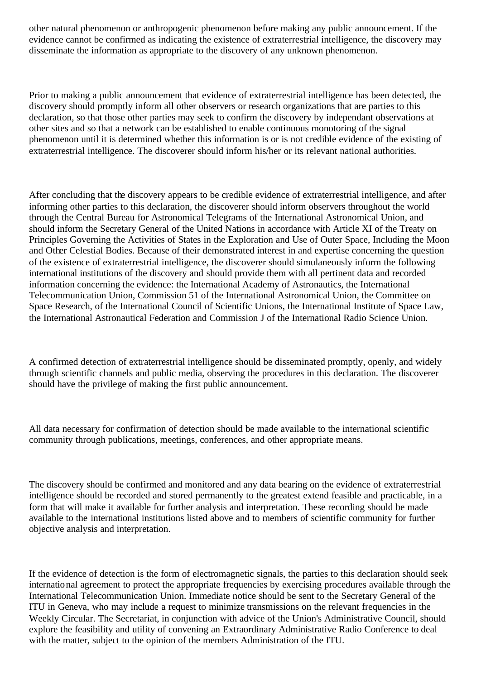other natural phenomenon or anthropogenic phenomenon before making any public announcement. If the evidence cannot be confirmed as indicating the existence of extraterrestrial intelligence, the discovery may disseminate the information as appropriate to the discovery of any unknown phenomenon.

Prior to making a public announcement that evidence of extraterrestrial intelligence has been detected, the discovery should promptly inform all other observers or research organizations that are parties to this declaration, so that those other parties may seek to confirm the discovery by independant observations at other sites and so that a network can be established to enable continuous monotoring of the signal phenomenon until it is determined whether this information is or is not credible evidence of the existing of extraterrestrial intelligence. The discoverer should inform his/her or its relevant national authorities.

After concluding that the discovery appears to be credible evidence of extraterrestrial intelligence, and after informing other parties to this declaration, the discoverer should inform observers throughout the world through the Central Bureau for Astronomical Telegrams of the International Astronomical Union, and should inform the Secretary General of the United Nations in accordance with Article XI of the Treaty on Principles Governing the Activities of States in the Exploration and Use of Outer Space, Including the Moon and Other Celestial Bodies. Because of their demonstrated interest in and expertise concerning the question of the existence of extraterrestrial intelligence, the discoverer should simulaneously inform the following international institutions of the discovery and should provide them with all pertinent data and recorded information concerning the evidence: the International Academy of Astronautics, the International Telecommunication Union, Commission 51 of the International Astronomical Union, the Committee on Space Research, of the International Council of Scientific Unions, the International Institute of Space Law, the International Astronautical Federation and Commission J of the International Radio Science Union.

A confirmed detection of extraterrestrial intelligence should be disseminated promptly, openly, and widely through scientific channels and public media, observing the procedures in this declaration. The discoverer should have the privilege of making the first public announcement.

All data necessary for confirmation of detection should be made available to the international scientific community through publications, meetings, conferences, and other appropriate means.

The discovery should be confirmed and monitored and any data bearing on the evidence of extraterrestrial intelligence should be recorded and stored permanently to the greatest extend feasible and practicable, in a form that will make it available for further analysis and interpretation. These recording should be made available to the international institutions listed above and to members of scientific community for further objective analysis and interpretation.

If the evidence of detection is the form of electromagnetic signals, the parties to this declaration should seek international agreement to protect the appropriate frequencies by exercising procedures available through the International Telecommunication Union. Immediate notice should be sent to the Secretary General of the ITU in Geneva, who may include a request to minimize transmissions on the relevant frequencies in the Weekly Circular. The Secretariat, in conjunction with advice of the Union's Administrative Council, should explore the feasibility and utility of convening an Extraordinary Administrative Radio Conference to deal with the matter, subject to the opinion of the members Administration of the ITU.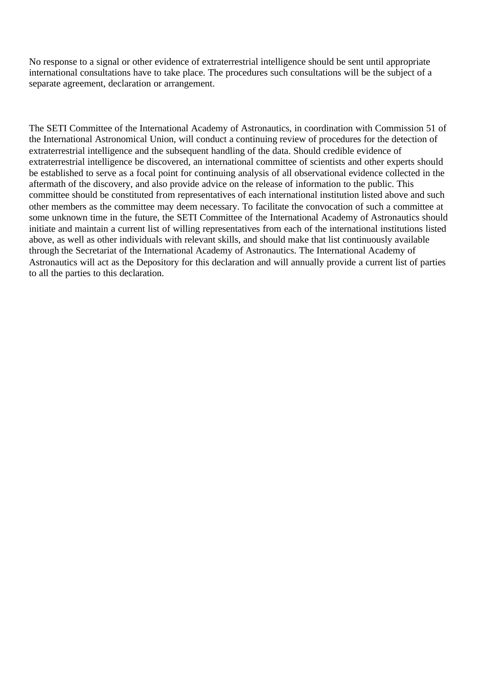No response to a signal or other evidence of extraterrestrial intelligence should be sent until appropriate international consultations have to take place. The procedures such consultations will be the subject of a separate agreement, declaration or arrangement.

The SETI Committee of the International Academy of Astronautics, in coordination with Commission 51 of the International Astronomical Union, will conduct a continuing review of procedures for the detection of extraterrestrial intelligence and the subsequent handling of the data. Should credible evidence of extraterrestrial intelligence be discovered, an international committee of scientists and other experts should be established to serve as a focal point for continuing analysis of all observational evidence collected in the aftermath of the discovery, and also provide advice on the release of information to the public. This committee should be constituted from representatives of each international institution listed above and such other members as the committee may deem necessary. To facilitate the convocation of such a committee at some unknown time in the future, the SETI Committee of the International Academy of Astronautics should initiate and maintain a current list of willing representatives from each of the international institutions listed above, as well as other individuals with relevant skills, and should make that list continuously available through the Secretariat of the International Academy of Astronautics. The International Academy of Astronautics will act as the Depository for this declaration and will annually provide a current list of parties to all the parties to this declaration.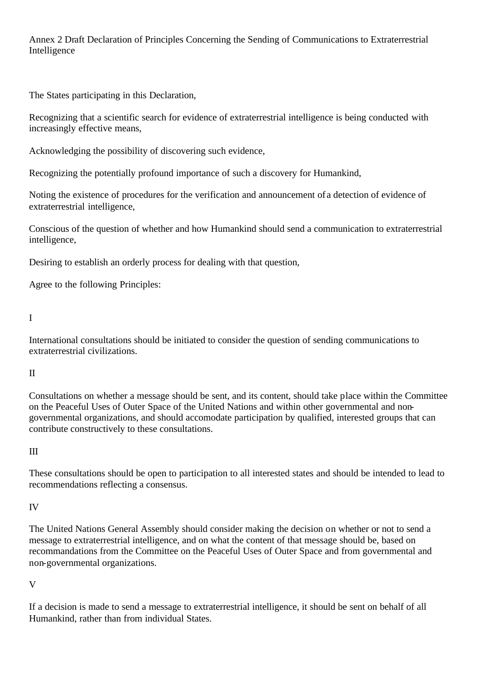Annex 2 Draft Declaration of Principles Concerning the Sending of Communications to Extraterrestrial Intelligence

The States participating in this Declaration,

Recognizing that a scientific search for evidence of extraterrestrial intelligence is being conducted with increasingly effective means,

Acknowledging the possibility of discovering such evidence,

Recognizing the potentially profound importance of such a discovery for Humankind,

Noting the existence of procedures for the verification and announcement of a detection of evidence of extraterrestrial intelligence,

Conscious of the question of whether and how Humankind should send a communication to extraterrestrial intelligence,

Desiring to establish an orderly process for dealing with that question,

Agree to the following Principles:

I

International consultations should be initiated to consider the question of sending communications to extraterrestrial civilizations.

## II

Consultations on whether a message should be sent, and its content, should take place within the Committee on the Peaceful Uses of Outer Space of the United Nations and within other governmental and nongovernmental organizations, and should accomodate participation by qualified, interested groups that can contribute constructively to these consultations.

#### III

These consultations should be open to participation to all interested states and should be intended to lead to recommendations reflecting a consensus.

## IV

The United Nations General Assembly should consider making the decision on whether or not to send a message to extraterrestrial intelligence, and on what the content of that message should be, based on recommandations from the Committee on the Peaceful Uses of Outer Space and from governmental and non-governmental organizations.

V

If a decision is made to send a message to extraterrestrial intelligence, it should be sent on behalf of all Humankind, rather than from individual States.